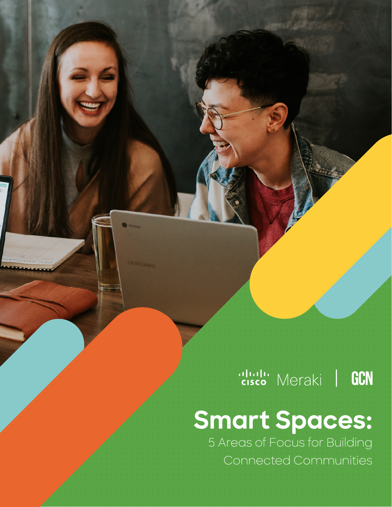## ululu Meraki | GCN

# **Smart Spaces:**

5 Areas of Focus for Building Connected Communities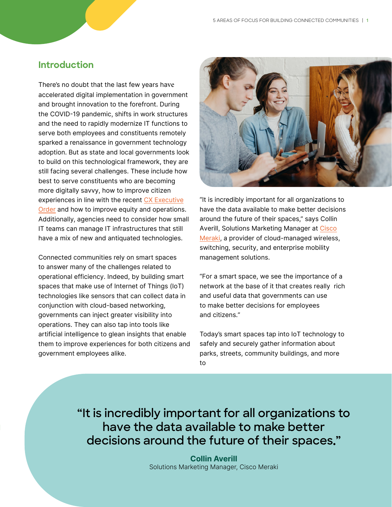#### **Introduction**

There's no doubt that the last few years have accelerated digital implementation in government and brought innovation to the forefront. During the COVID-19 pandemic, shifts in work structures and the need to rapidly modernize IT functions to serve both employees and constituents remotely sparked a renaissance in government technology adoption. But as state and local governments look to build on this technological framework, they are still facing several challenges. These include how best to serve constituents  $\equiv$  are becoming more digitally savvy, how to improve citizen experiences in line with the recent [CX Executive](https://www.whitehouse.gov/briefing-room/presidential-actions/2021/12/13/executive-order-on-transforming-federal-customer-experience-and-service-delivery-to-rebuild-trust-in-government/)  [Order](https://www.whitehouse.gov/briefing-room/presidential-actions/2021/12/13/executive-order-on-transforming-federal-customer-experience-and-service-delivery-to-rebuild-trust-in-government/) and how to improve equity and operations. Additionally, agencies need to consider how small IT teams can manage IT infrastructures that still have a mix of new and antiquated technologies.

Connected communities rely on smart spaces to answer many of the challenges related to operational efficiency. Indeed, by building smart spaces that make use of Internet of Things technologies like sensors that can collect data in conjunction with cloud-based networking, governments can inject greater visibility into operations. They can also tap into tools like artificial intelligence to glean insights that enable them to improve experiences for both citizens and government employees alike.



"It is incredibly important for all organizations to have the data available to make better decisions around the future of their spaces," says Collin Averill, Solutions Marketing Manager at Cisco <u>[Meraki,](https://meraki.cisco.com/)</u> and states in the state of the state of the state of the state of the state of the state of the state o

switching, security, and enterprise mobility management solutions.

"For a smart space, we see the importance of a network at the base of it that creates really rich and useful datant governments can use to make better decisions for employees and citizens."

Today's smart spaces tap into IoT technology to safely and securely gather information about parks, streets, community buildings and more to

**"It is incredibly important for all organizations to have the data available to make better decisions around the future of their spaces."**

> **Collin Averill** Solutions Marketing Manager, Cisco Meraki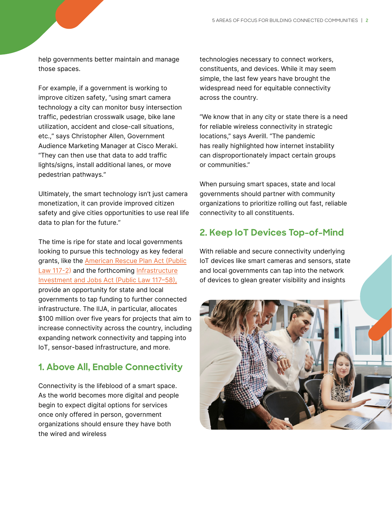help governments better maintain and manage those spaces.

For example, if a government is working to improve citizen safety, "using smart camera technology a city can monitor busy intersection traffic, pedestrian crosswalk usage, bike lane utilization, accident and close-call situations, etc.," says Christopher Allen, Government Audience Marketing Manager at Cisco Meraki. "They can then use that data to add traffic lights/signs, install additional lanes, or move pedestrian pathways."

Ultimately, the smart technology isn't just camera monetization, it can provide improved citizen safety and give cities opportunities to use real life data to plan for the future."

The time is ripe for state and local governments looking to pursue this technology as key federal grants, like the [American Rescue Plan Act \(Public](https://www.govinfo.gov/app/details/PLAW-117publ2)  [Law 117-2](https://www.govinfo.gov/app/details/PLAW-117publ2)) and the forthcoming [Infrastructure](https://www.govinfo.gov/app/details/PLAW-117publ58)  [Investment and Jobs Act \(Public Law 117–58\)](https://www.govinfo.gov/app/details/PLAW-117publ58), provide an opportunity for state and local governments to tap funding to further connected infrastructure. The IIJA, in particular, allocates \$100 million over five years for projects that aim to increase connectivity across the country, including expanding network connectivity and tapping into IoT, sensor-based infrastructure, and more.

#### **1. Above All, Enable Connectivity**

Connectivity is the lifeblood of a smart space. As the world becomes more digital and people begin to expect digital options for services once only offered in person, government organizations should ensure they have both the wired and wireless

technologies necessary to connect workers, constituents, and devices. While it may seem simple, the last few years have brought the widespread need for equitable connectivity across the country.

"We know that in any city or state there is a need for reliable wireless connectivity in strategic locations," says Averill. "The pandemic has really highlighted how internet instability can disproportionately impact certain groups or communities."

When pursuing smart spaces, state and local governments should partner with community organizations to prioritize rolling out fast, reliable connectivity to all constituents.

### **2. Keep IoT Devices Top-of-Mind**

With reliable and secure connectivity underlying IoT devices like smart cameras and sensors, state and local governments can tap into the network of devices to glean greater visibility and insights

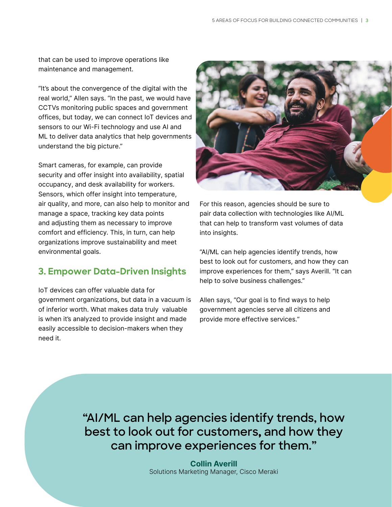that can be used to improve operations like maintenance and management.

"It's about the convergence of the digital with the real world," Allen says. "In the past, we would have CCTVs monitoring public spaces and government offices, but today, we can connect IoT devices and sensors to our Wi-Fi technology and use AI and ML to deliver data analytics that help governments understand the big picture."

Smart cameras, for example, can provide security and offer insight into availability, spatial occupancy, and desk availability for workers. Sensors, which offer insight into temperature, air quality, and more, can also help to monitor and manage a space, tracking key data points and adjusting them as necessary to improve comfort and efficiency. This, in turn, can help organizations improve sustainability and meet environmental goals.

#### **3. Empower Data-Driven Insights**

IoT devices can offer valuable data for government organizations, but data in a vacuum is of inferior worth. What makes data truly valuable is when it's analyzed to provide insight and made easily accessible to decision-makers when they need it.



For this reason, agencies should be sure to pair data collection with technologies like AI/ML that can help to transform vast volumes of data into insights.

"AI/ML can help agencies identify trends, how best to look out for customers, and how they can improve experiences for them," says Averill. "It can help to solve business challenges."

Allen says, "Our goal is to find ways to help government agencies serve all citizens and provide more effective services."

**"AI/ML can help agencies identify trends, how best to look out for customers, and how they can improve experiences for them."**

> **Collin Averill** Solutions Marketing Manager, Cisco Meraki